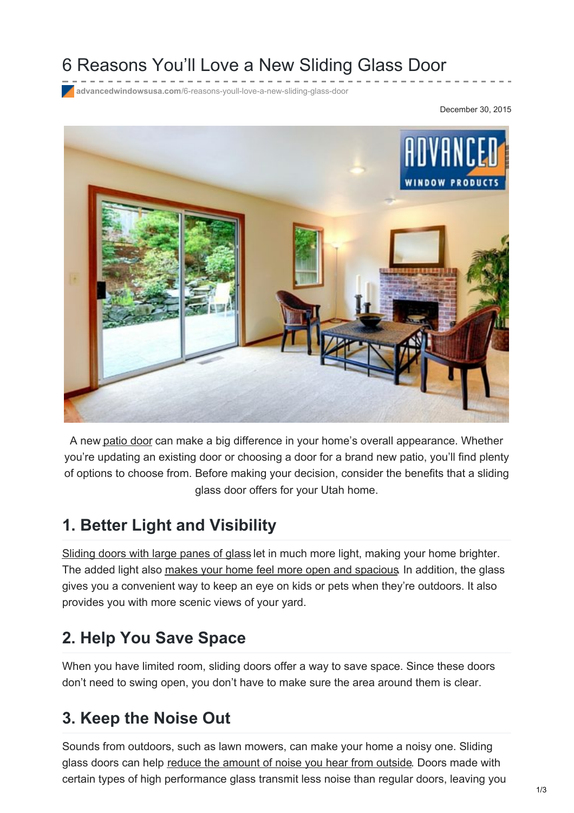# 6 Reasons You'll Love a New Sliding Glass Door

**advancedwindowsusa.com**[/6-reasons-youll-love-a-new-sliding-glass-door](https://advancedwindowsusa.com/6-reasons-youll-love-a-new-sliding-glass-door)

December 30, 2015



A new [patio](https://advancedwindowsusa.com/doors) door can make a big difference in your home's overall appearance. Whether you're updating an existing door or choosing a door for a brand new patio, you'll find plenty of options to choose from. Before making your decision, consider the benefits that a sliding glass door offers for your Utah home.

#### **1. Better Light and Visibility**

[Sliding](https://advancedwindowsusa.com/sliding-glass-doors-a-homeowners-guide) doors with large panes of glass let in much more light, making your home brighter. The added light also makes your home feel more open and [spacious](https://advancedwindowsusa.com/home-larger). In addition, the glass gives you a convenient way to keep an eye on kids or pets when they're outdoors. It also provides you with more scenic views of your yard.

### **2. Help You Save Space**

When you have limited room, sliding doors offer a way to save space. Since these doors don't need to swing open, you don't have to make sure the area around them is clear.

#### **3. Keep the Noise Out**

Sounds from outdoors, such as lawn mowers, can make your home a noisy one. Sliding glass doors can help reduce the [amount](https://advancedwindowsusa.com/5-secrets-to-sound-proofing-your-home) of noise you hear from outside. Doors made with certain types of high performance glass transmit less noise than regular doors, leaving you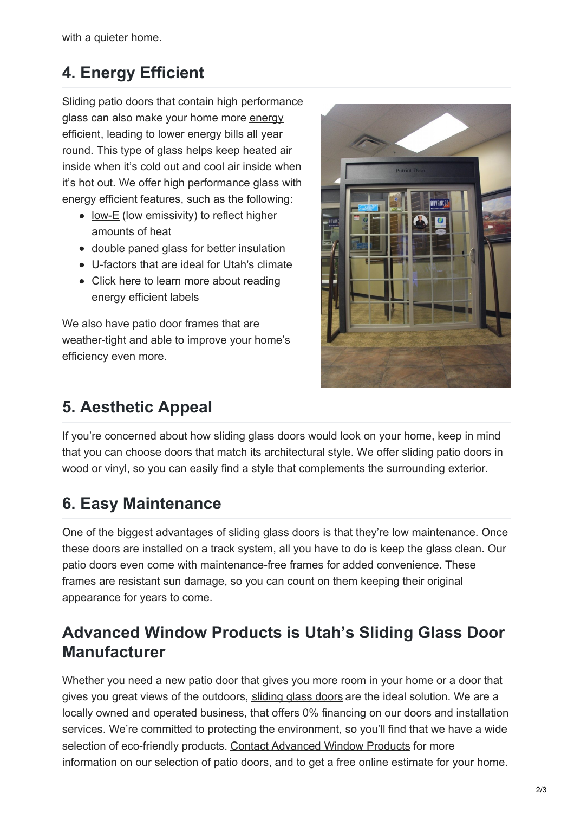with a quieter home.

## **4. Energy Efficient**

Sliding patio doors that contain high performance glass can also make your home more energy [efficient,](https://advancedwindowsusa.com/energy-efficient-window-replacement-salt-lake-city-utah) leading to lower energy bills all year round. This type of glass helps keep heated air inside when it's cold out and cool air inside when it's hot out. We offer high [performance](https://advancedwindowsusa.com/glass) glass with energy efficient features, such as the following:

- [low-E](https://advancedwindowsusa.com/windows/low-e-windows-salt-lake-city) (low emissivity) to reflect higher amounts of heat
- double paned glass for better insulation
- U-factors that are ideal for Utah's climate
- Click here to learn more about [reading](https://advancedwindowsusa.com/read-energy-efficient-window-labels) energy efficient labels

We also have patio door frames that are weather-tight and able to improve your home's efficiency even more.

# **5. Aesthetic Appeal**



If you're concerned about how sliding glass doors would look on your home, keep in mind that you can choose doors that match its architectural style. We offer sliding patio doors in wood or vinyl, so you can easily find a style that complements the surrounding exterior.

## **6. Easy Maintenance**

One of the biggest advantages of sliding glass doors is that they're low maintenance. Once these doors are installed on a track system, all you have to do is keep the glass clean. Our patio doors even come with maintenance-free frames for added convenience. These frames are resistant sun damage, so you can count on them keeping their original appearance for years to come.

## **Advanced Window Products is Utah's Sliding Glass Door Manufacturer**

Whether you need a new patio door that gives you more room in your home or a door that gives you great views of the outdoors, [sliding](https://advancedwindowsusa.com/patriot-sliding-glass-door) glass doors are the ideal solution. We are a locally owned and operated business, that offers 0% financing on our doors and installation services. We're committed to protecting the environment, so you'll find that we have a wide selection of eco-friendly products. Contact [Advanced](https://advancedwindowsusa.com/contact-us) Window Products for more information on our selection of patio doors, and to get a free online estimate for your home.